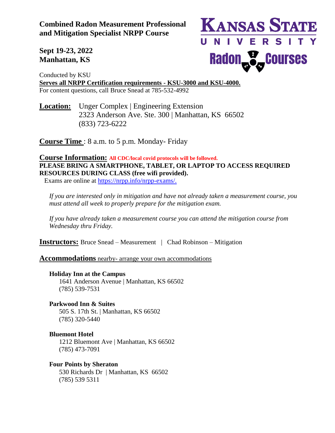**Combined Radon Measurement Professional and Mitigation Specialist NRPP Course** 



**Sept 19-23, 2022 Manhattan, KS**

Conducted by KSU **Serves all NRPP Certification requirements - KSU-3000 and KSU-4000.** For content questions, call Bruce Snead at 785-532-4992

**Location:** Unger Complex | Engineering Extension 2323 Anderson Ave. Ste. 300 | Manhattan, KS 66502 (833) 723-6222

**Course Time** : 8 a.m. to 5 p.m. Monday- Friday

# **Course Information: All CDC/local covid protocols will be followed. PLEASE BRING A SMARTPHONE, TABLET, OR LAPTOP TO ACCESS REQUIRED RESOURCES DURING CLASS (free wifi provided).**

Exams are online at [https://nrpp.info/nrpp-exams/.](https://nrpp.info/nrpp-exams/)

*If you are interested only in mitigation and have not already taken a measurement course, you must attend all week to properly prepare for the mitigation exam.* 

*If you have already taken a measurement course you can attend the mitigation course from Wednesday thru Friday.* 

**Instructors:** Bruce Snead – Measurement | Chad Robinson – Mitigation

**Accommodations** nearby- arrange your own accommodations

## **Holiday Inn at the Campus**

1641 Anderson Avenue | Manhattan, KS 66502 (785) 539-7531

**Parkwood Inn & Suites** 505 S. 17th St. | Manhattan, KS 66502 (785) 320-5440

**Bluemont Hotel** 1212 Bluemont Ave | Manhattan, KS 66502 (785) 473-7091

**Four Points by Sheraton** 530 Richards Dr | Manhattan, KS 66502 (785) 539 5311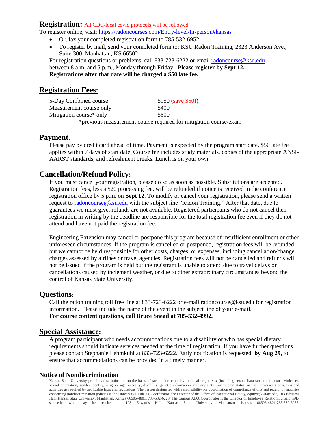#### **Registration:** All CDC/local covid protocols will be followed.

To register online, visit: <https://radoncourses.com/Entry-level/In-person#kansas>

- Or, fax your completed registration form to 785-532-6952.
- To register by mail, send your completed form to: KSU Radon Training, 2323 Anderson Ave., Suite 300, Manhattan, KS 66502

For registration questions or problems, call 833-723-6222 or email [radoncourse@ksu.edu](mailto:radoncourse@ksu.edu) between 8 a.m. and 5 p.m., Monday through Friday. **Please register by Sept 12. Registrations after that date will be charged a \$50 late fee.**

# **Registration Fees:**

| 5-Day Combined course   | $$950$ (save \$50!)                                              |
|-------------------------|------------------------------------------------------------------|
| Measurement course only | \$400                                                            |
| Mitigation course* only | \$600                                                            |
|                         | *previous measurement course required for mitigation course/exam |

### **Payment**:

Please pay by credit card ahead of time. Payment is expected by the program start date. \$50 late fee applies within 7 days of start date. Course fee includes study materials, copies of the appropriate ANSI-AARST standards, and refreshment breaks. Lunch is on your own.

## **Cancellation/Refund Policy:**

If you must cancel your registration, please do so as soon as possible. Substitutions are accepted. Registration fees, less a \$20 processing fee, will be refunded if notice is received in the conference registration office by 5 p.m. on **Sept 12**. To modify or cancel your registration, please send a written request to [radoncourse@ksu.edu](mailto:radoncourse@ksu.edu) with the subject line "Radon Training." After that date, due to guarantees we must give, refunds are not available. Registered participants who do not cancel their registration in writing by the deadline are responsible for the total registration fee even if they do not attend and have not paid the registration fee.

Engineering Extension may cancel or postpone this program because of insufficient enrollment or other unforeseen circumstances. If the program is cancelled or postponed, registration fees will be refunded but we cannot be held responsible for other costs, charges, or expenses, including cancellation/change charges assessed by airlines or travel agencies. Registration fees will not be cancelled and refunds will not be issued if the program is held but the registrant is unable to attend due to travel delays or cancellations caused by inclement weather, or due to other extraordinary circumstances beyond the control of Kansas State University.

## **Questions:**

Call the radon training toll free line at 833-723-6222 or e-mail radoncourse@ksu.edu for registration information. Please include the name of the event in the subject line of your e-mail. **For course content questions, call Bruce Snead at 785-532-4992.**

## **Special Assistance:**

A program participant who needs accommodations due to a disability or who has special dietary requirements should indicate services needed at the time of registration. If you have further questions please contact Stephanie Lehmkuhl at 833-723-6222. Early notification is requested, **by Aug 29,** to ensure that accommodations can be provided in a timely manner.

### **Notice of Nondiscrimination**

Kansas State University prohibits discrimination on the basis of race, color, ethnicity, national origin, sex (including sexual harassment and sexual violence), sexual orientation, gender identity, religion, age, ancestry, disability, genetic information, military status, or veteran status, in the University's programs and activities as required by applicable laws and regulations. The person designated with responsibility for coordination of compliance efforts and receipt of inquiries concerning nondiscrimination policies is the University's Title IX Coordinator: the Director of the Office of Institutional Equity, equity@k-state.edu, 103 Edwards Hall, Kansas State University, Manhattan, Kansas 66506-4801, 785-532-6220. The campus ADA Coordinator is the Director of Employee Relations, charlott@kstate.edu, who may be reached at 103 Edwards Hall, Kansas State University, Manhattan, Kansas 66506-4801,785-532-6277.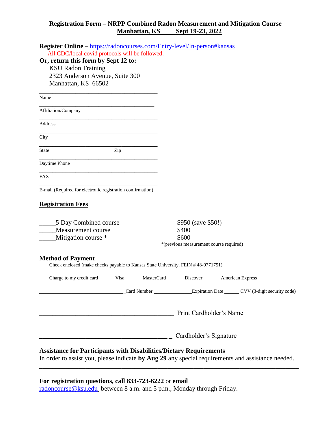### **Registration Form – NRPP Combined Radon Measurement and Mitigation Course Manhattan, KS Sept 19-23, 2022**

| Register Online - https://radoncourses.com/Entry-level/In-person#kansas                                                |                                                                                 |
|------------------------------------------------------------------------------------------------------------------------|---------------------------------------------------------------------------------|
| All CDC/local covid protocols will be followed.                                                                        |                                                                                 |
| Or, return this form by Sept 12 to:<br><b>KSU Radon Training</b>                                                       |                                                                                 |
| 2323 Anderson Avenue, Suite 300                                                                                        |                                                                                 |
| Manhattan, KS 66502                                                                                                    |                                                                                 |
|                                                                                                                        |                                                                                 |
| Name                                                                                                                   |                                                                                 |
| Affiliation/Company                                                                                                    |                                                                                 |
| Address                                                                                                                |                                                                                 |
| City                                                                                                                   |                                                                                 |
| <b>State</b><br>Zip                                                                                                    |                                                                                 |
| Daytime Phone                                                                                                          |                                                                                 |
| <b>FAX</b>                                                                                                             |                                                                                 |
| E-mail (Required for electronic registration confirmation)                                                             |                                                                                 |
|                                                                                                                        |                                                                                 |
| <b>Registration Fees</b>                                                                                               |                                                                                 |
| 5 Day Combined course                                                                                                  | \$950 (save \$50!)                                                              |
| Measurement course                                                                                                     | \$400                                                                           |
| Mitigation course *                                                                                                    | \$600                                                                           |
|                                                                                                                        | *(previous measurement course required)                                         |
| <b>Method of Payment</b>                                                                                               |                                                                                 |
| Check enclosed (make checks payable to Kansas State University, FEIN #48-0771751)                                      |                                                                                 |
| Charge to my credit card<br>Visa<br>MasterCard                                                                         | __American Express<br>Discover                                                  |
|                                                                                                                        |                                                                                 |
|                                                                                                                        | Card Number _________________Expiration Date _______CVV (3-digit security code) |
|                                                                                                                        |                                                                                 |
| <u> 1989 - Johann Stoff, deutscher Stoffen und der Stoffen und der Stoffen und der Stoffen und der Stoffen und der</u> | Print Cardholder's Name                                                         |
|                                                                                                                        |                                                                                 |
|                                                                                                                        |                                                                                 |
| <u> 1989 - Johann Barn, amerikansk politiker (</u>                                                                     | Cardholder's Signature                                                          |
| <b>Assistance for Participants with Disabilities/Dietary Requirements</b>                                              |                                                                                 |
| In order to assist you, please indicate by Aug 29 any special requirements and assistance needed.                      |                                                                                 |
|                                                                                                                        |                                                                                 |

# **For registration questions, call 833-723-6222** or **email**

[radoncourse@ksu.edu](mailto:radoncourse@ksu.edu) between 8 a.m. and 5 p.m., Monday through Friday.